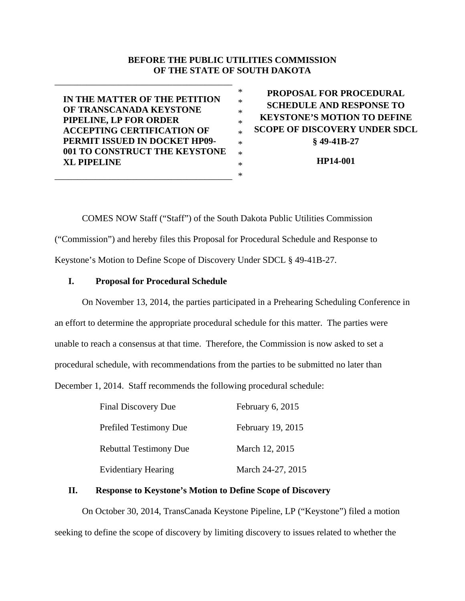## **BEFORE THE PUBLIC UTILITIES COMMISSION OF THE STATE OF SOUTH DAKOTA**

\* \* \* \* \* \* \* \* \*

**IN THE MATTER OF THE PETITION OF TRANSCANADA KEYSTONE PIPELINE, LP FOR ORDER ACCEPTING CERTIFICATION OF PERMIT ISSUED IN DOCKET HP09- 001 TO CONSTRUCT THE KEYSTONE XL PIPELINE** 

\_\_\_\_\_\_\_\_\_\_\_\_\_\_\_\_\_\_\_\_\_\_\_\_\_\_\_\_\_\_\_\_\_\_\_\_\_\_\_

\_\_\_\_\_\_\_\_\_\_\_\_\_\_\_\_\_\_\_\_\_\_\_\_\_\_\_\_\_\_\_\_\_\_\_\_\_\_\_

**PROPOSAL FOR PROCEDURAL SCHEDULE AND RESPONSE TO KEYSTONE'S MOTION TO DEFINE SCOPE OF DISCOVERY UNDER SDCL § 49-41B-27** 

**HP14-001** 

COMES NOW Staff ("Staff") of the South Dakota Public Utilities Commission ("Commission") and hereby files this Proposal for Procedural Schedule and Response to Keystone's Motion to Define Scope of Discovery Under SDCL § 49-41B-27.

## **I. Proposal for Procedural Schedule**

On November 13, 2014, the parties participated in a Prehearing Scheduling Conference in an effort to determine the appropriate procedural schedule for this matter. The parties were unable to reach a consensus at that time. Therefore, the Commission is now asked to set a procedural schedule, with recommendations from the parties to be submitted no later than December 1, 2014. Staff recommends the following procedural schedule:

| <b>Final Discovery Due</b>    | February 6, 2015  |
|-------------------------------|-------------------|
| Prefiled Testimony Due        | February 19, 2015 |
| <b>Rebuttal Testimony Due</b> | March 12, 2015    |
| <b>Evidentiary Hearing</b>    | March 24-27, 2015 |

## **II. Response to Keystone's Motion to Define Scope of Discovery**

On October 30, 2014, TransCanada Keystone Pipeline, LP ("Keystone") filed a motion seeking to define the scope of discovery by limiting discovery to issues related to whether the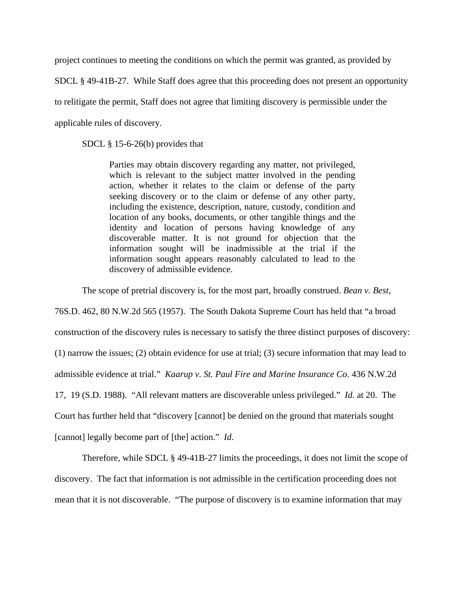project continues to meeting the conditions on which the permit was granted, as provided by

SDCL § 49-41B-27. While Staff does agree that this proceeding does not present an opportunity

to relitigate the permit, Staff does not agree that limiting discovery is permissible under the

applicable rules of discovery.

SDCL § 15-6-26(b) provides that

Parties may obtain discovery regarding any matter, not privileged, which is relevant to the subject matter involved in the pending action, whether it relates to the claim or defense of the party seeking discovery or to the claim or defense of any other party, including the existence, description, nature, custody, condition and location of any books, documents, or other tangible things and the identity and location of persons having knowledge of any discoverable matter. It is not ground for objection that the information sought will be inadmissible at the trial if the information sought appears reasonably calculated to lead to the discovery of admissible evidence.

The scope of pretrial discovery is, for the most part, broadly construed. *Bean v. Best*,

76S.D. 462, 80 N.W.2d 565 (1957). The South Dakota Supreme Court has held that "a broad construction of the discovery rules is necessary to satisfy the three distinct purposes of discovery:

(1) narrow the issues; (2) obtain evidence for use at trial; (3) secure information that may lead to

admissible evidence at trial." *Kaarup v. St. Paul Fire and Marine Insurance Co*. 436 N.W.2d

17, 19 (S.D. 1988). "All relevant matters are discoverable unless privileged." *Id*. at 20. The

Court has further held that "discovery [cannot] be denied on the ground that materials sought

[cannot] legally become part of [the] action." *Id*.

Therefore, while SDCL § 49-41B-27 limits the proceedings, it does not limit the scope of discovery. The fact that information is not admissible in the certification proceeding does not mean that it is not discoverable. "The purpose of discovery is to examine information that may